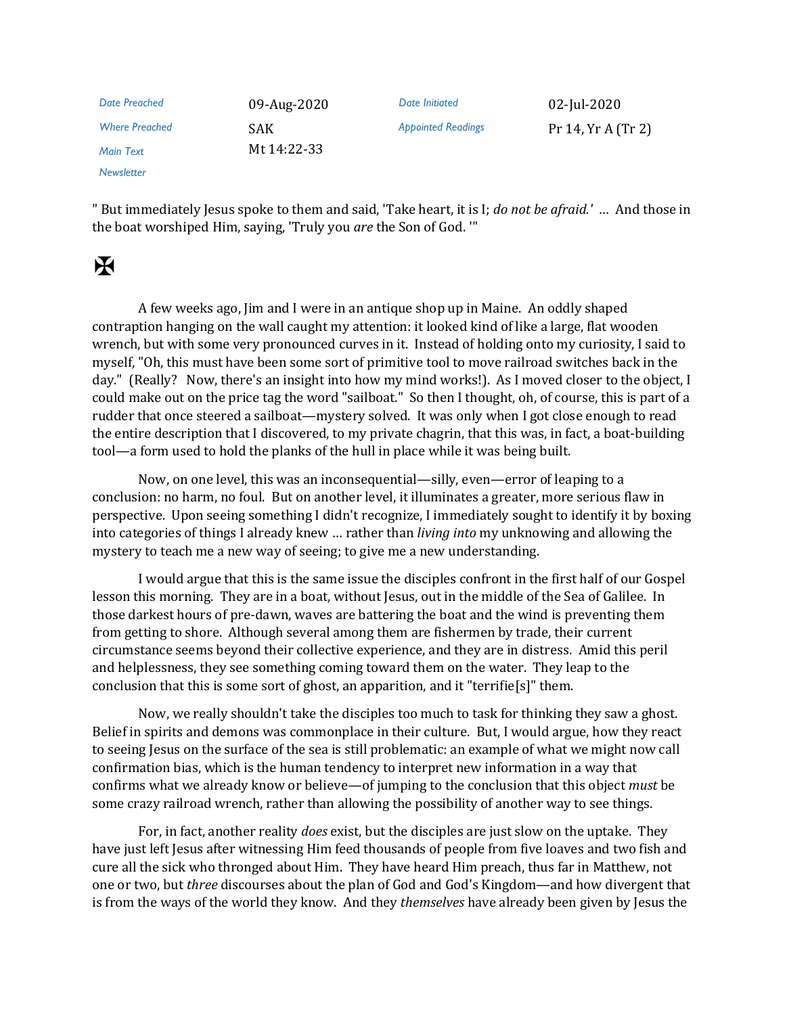| Date Preached         | 09-Aug-2020 | Date Initiated            | 02-Jul-2020        |
|-----------------------|-------------|---------------------------|--------------------|
| <b>Where Preached</b> | SAK.        | <b>Appointed Readings</b> | Pr 14, Yr A (Tr 2) |
| <b>Main Text</b>      | Mt 14:22-33 |                           |                    |
| Newsletter            |             |                           |                    |

" But immediately Jesus spoke to them and said, 'Take heart, it is I; *do not be afraid.'* … And those in the boat worshiped Him, saying, 'Truly you *are* the Son of God. '"

## $\mathbf H$

A few weeks ago, Jim and I were in an antique shop up in Maine. An oddly shaped contraption hanging on the wall caught my attention: it looked kind of like a large, flat wooden wrench, but with some very pronounced curves in it. Instead of holding onto my curiosity, I said to myself, "Oh, this must have been some sort of primitive tool to move railroad switches back in the day." (Really? Now, there's an insight into how my mind works!). As I moved closer to the object, I could make out on the price tag the word "sailboat." So then I thought, oh, of course, this is part of a rudder that once steered a sailboat—mystery solved. It was only when I got close enough to read the entire description that I discovered, to my private chagrin, that this was, in fact, a boat-building tool—a form used to hold the planks of the hull in place while it was being built.

Now, on one level, this was an inconsequential—silly, even—error of leaping to a conclusion: no harm, no foul. But on another level, it illuminates a greater, more serious flaw in perspective. Upon seeing something I didn't recognize, I immediately sought to identify it by boxing into categories of things I already knew … rather than *living into* my unknowing and allowing the mystery to teach me a new way of seeing; to give me a new understanding.

I would argue that this is the same issue the disciples confront in the first half of our Gospel lesson this morning. They are in a boat, without Jesus, out in the middle of the Sea of Galilee. In those darkest hours of pre-dawn, waves are battering the boat and the wind is preventing them from getting to shore. Although several among them are fishermen by trade, their current circumstance seems beyond their collective experience, and they are in distress. Amid this peril and helplessness, they see something coming toward them on the water. They leap to the conclusion that this is some sort of ghost, an apparition, and it "terrifie[s]" them.

Now, we really shouldn't take the disciples too much to task for thinking they saw a ghost. Belief in spirits and demons was commonplace in their culture. But, I would argue, how they react to seeing Jesus on the surface of the sea is still problematic: an example of what we might now call confirmation bias, which is the human tendency to interpret new information in a way that confirms what we already know or believe—of jumping to the conclusion that this object *must* be some crazy railroad wrench, rather than allowing the possibility of another way to see things.

For, in fact, another reality *does* exist, but the disciples are just slow on the uptake. They have just left Jesus after witnessing Him feed thousands of people from five loaves and two fish and cure all the sick who thronged about Him. They have heard Him preach, thus far in Matthew, not one or two, but *three* discourses about the plan of God and God's Kingdom—and how divergent that is from the ways of the world they know. And they *themselves* have already been given by Jesus the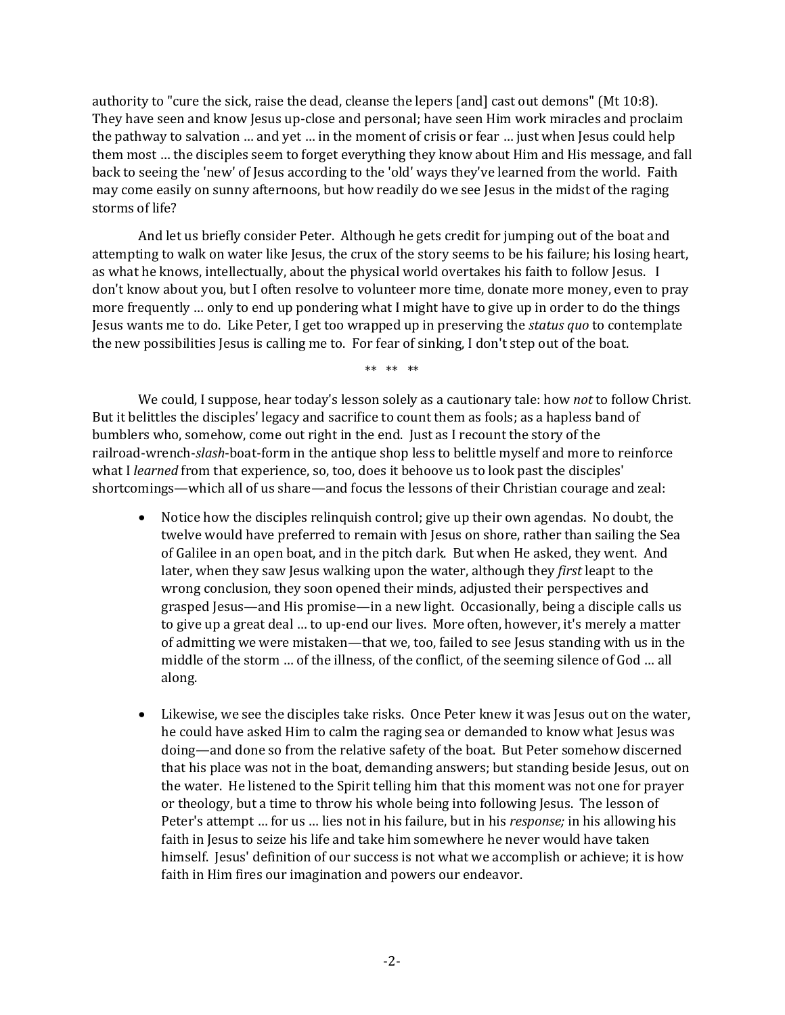authority to "cure the sick, raise the dead, cleanse the lepers [and] cast out demons" (Mt 10:8). They have seen and know Jesus up-close and personal; have seen Him work miracles and proclaim the pathway to salvation … and yet … in the moment of crisis or fear … just when Jesus could help them most … the disciples seem to forget everything they know about Him and His message, and fall back to seeing the 'new' of Jesus according to the 'old' ways they've learned from the world. Faith may come easily on sunny afternoons, but how readily do we see Jesus in the midst of the raging storms of life?

And let us briefly consider Peter. Although he gets credit for jumping out of the boat and attempting to walk on water like Jesus, the crux of the story seems to be his failure; his losing heart, as what he knows, intellectually, about the physical world overtakes his faith to follow Jesus. I don't know about you, but I often resolve to volunteer more time, donate more money, even to pray more frequently … only to end up pondering what I might have to give up in order to do the things Jesus wants me to do. Like Peter, I get too wrapped up in preserving the *status quo* to contemplate the new possibilities Jesus is calling me to. For fear of sinking, I don't step out of the boat.

\*\* \*\* \*\*

We could, I suppose, hear today's lesson solely as a cautionary tale: how *not* to follow Christ. But it belittles the disciples' legacy and sacrifice to count them as fools; as a hapless band of bumblers who, somehow, come out right in the end. Just as I recount the story of the railroad-wrench-*slash*-boat-form in the antique shop less to belittle myself and more to reinforce what I *learned* from that experience, so, too, does it behoove us to look past the disciples' shortcomings—which all of us share—and focus the lessons of their Christian courage and zeal:

- Notice how the disciples relinquish control; give up their own agendas. No doubt, the twelve would have preferred to remain with Jesus on shore, rather than sailing the Sea of Galilee in an open boat, and in the pitch dark. But when He asked, they went. And later, when they saw Jesus walking upon the water, although they *first* leapt to the wrong conclusion, they soon opened their minds, adjusted their perspectives and grasped Jesus—and His promise—in a new light. Occasionally, being a disciple calls us to give up a great deal … to up-end our lives. More often, however, it's merely a matter of admitting we were mistaken—that we, too, failed to see Jesus standing with us in the middle of the storm … of the illness, of the conflict, of the seeming silence of God … all along.
- Likewise, we see the disciples take risks. Once Peter knew it was Jesus out on the water, he could have asked Him to calm the raging sea or demanded to know what Jesus was doing—and done so from the relative safety of the boat. But Peter somehow discerned that his place was not in the boat, demanding answers; but standing beside Jesus, out on the water. He listened to the Spirit telling him that this moment was not one for prayer or theology, but a time to throw his whole being into following Jesus. The lesson of Peter's attempt … for us … lies not in his failure, but in his *response;* in his allowing his faith in Jesus to seize his life and take him somewhere he never would have taken himself. Jesus' definition of our success is not what we accomplish or achieve; it is how faith in Him fires our imagination and powers our endeavor.